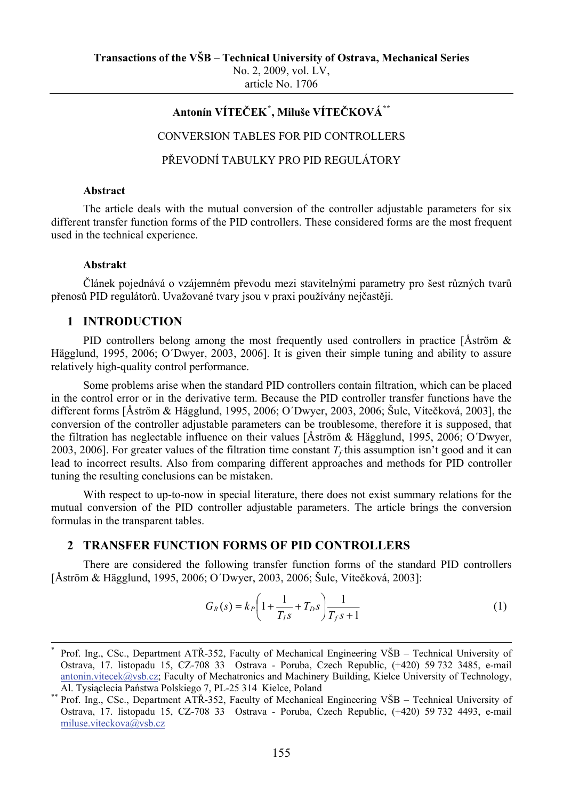No. 2, 2009, vol. LV, article No. 1706

# **Antonín VÍTEČEK[\\*](#page-0-0) , Miluše VÍTEČKOVÁ[\\*\\*](#page-0-1)**

CONVERSION TABLES FOR PID CONTROLLERS

PŘEVODNÍ TABULKY PRO PID REGULÁTORY

#### **Abstract**

The article deals with the mutual conversion of the controller adjustable parameters for six different transfer function forms of the PID controllers. These considered forms are the most frequent used in the technical experience.

#### **Abstrakt**

-

Článek pojednává o vzájemném převodu mezi stavitelnými parametry pro šest různých tvarů přenosů PID regulátorů. Uvažované tvary jsou v praxi používány nejčastěji.

### **1 INTRODUCTION**

PID controllers belong among the most frequently used controllers in practice [Åström & Hägglund, 1995, 2006; O´Dwyer, 2003, 2006]. It is given their simple tuning and ability to assure relatively high-quality control performance.

Some problems arise when the standard PID controllers contain filtration, which can be placed in the control error or in the derivative term. Because the PID controller transfer functions have the different forms [Åström & Hägglund, 1995, 2006; O´Dwyer, 2003, 2006; Šulc, Vítečková, 2003], the conversion of the controller adjustable parameters can be troublesome, therefore it is supposed, that the filtration has neglectable influence on their values [Åström & Hägglund, 1995, 2006; O´Dwyer, 2003, 2006]. For greater values of the filtration time constant  $T_f$  this assumption isn't good and it can lead to incorrect results. Also from comparing different approaches and methods for PID controller tuning the resulting conclusions can be mistaken.

With respect to up-to-now in special literature, there does not exist summary relations for the mutual conversion of the PID controller adjustable parameters. The article brings the conversion formulas in the transparent tables.

## **2 TRANSFER FUNCTION FORMS OF PID CONTROLLERS**

There are considered the following transfer function forms of the standard PID controllers [Åström & Hägglund, 1995, 2006; O´Dwyer, 2003, 2006; Šulc, Vítečková, 2003]:

$$
G_R(s) = k_P \left( 1 + \frac{1}{T_{IS}} + T_{DS} \right) \frac{1}{T_{IS} + 1}
$$
 (1)

<span id="page-0-0"></span><sup>\*</sup> Prof. Ing., CSc., Department ATŘ-352, Faculty of Mechanical Engineering VŠB – Technical University of Ostrava, 17. listopadu 15, CZ-708 33 Ostrava - Poruba, Czech Republic, (+420) 59 732 3485, e-mail [antonin.vitecek@vsb.cz](mailto:antonin.vitecek@vsb.cz); Faculty of Mechatronics and Machinery Building, Kielce University of Technology,

<span id="page-0-1"></span>Al. Tysiąclecia Państwa Polskiego 7, PL-25 314 Kielce, Poland<br>Prof. Ing., CSc., Department ATŘ-352, Faculty of Mechanical Engineering VŠB – Technical University of Ostrava, 17. listopadu 15, CZ-708 33 Ostrava - Poruba, Czech Republic, (+420) 59 732 4493, e-mail [miluse.viteckova@vsb.cz](mailto:miluse.viteckova@vsb.cz)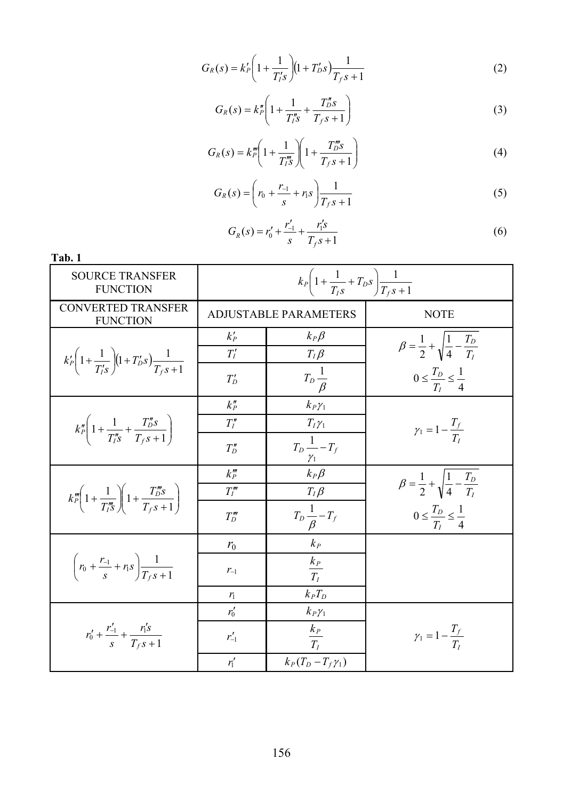$$
G_R(s) = k'_P \left( 1 + \frac{1}{T'_I s} \right) \left( 1 + T'_D s \right) \frac{1}{T_f s + 1} \tag{2}
$$

$$
G_R(s) = k_P'' \left( 1 + \frac{1}{T_1''s} + \frac{T_0''s}{T_f s + 1} \right)
$$
 (3)

$$
G_R(s) = k_p''' \left( 1 + \frac{1}{T_{I}''s} \right) \left( 1 + \frac{T_{D}'''s}{T_{I} s + 1} \right)
$$
(4)

$$
G_R(s) = \left(r_0 + \frac{r_{-1}}{s} + r_1 s\right) \frac{1}{T_f s + 1} \tag{5}
$$

$$
G_R(s) = r'_0 + \frac{r'_{-1}}{s} + \frac{r'_1 s}{T_f s + 1}
$$
 (6)

| Tab. 1                                                                                                                                                            |                                                               |                                               |                                                              |
|-------------------------------------------------------------------------------------------------------------------------------------------------------------------|---------------------------------------------------------------|-----------------------------------------------|--------------------------------------------------------------|
| <b>SOURCE TRANSFER</b><br><b>FUNCTION</b>                                                                                                                         | $k_P\left(1+\frac{1}{T_{LS}}+T_{DS}\right)\frac{1}{T_{LS}+1}$ |                                               |                                                              |
| <b>CONVERTED TRANSFER</b><br><b>FUNCTION</b>                                                                                                                      | <b>ADJUSTABLE PARAMETERS</b>                                  |                                               | <b>NOTE</b>                                                  |
|                                                                                                                                                                   | $k_P'$                                                        | $k_P\beta$                                    | $\beta = \frac{1}{2} + \sqrt{\frac{1}{4} - \frac{T_D}{T_I}}$ |
| $k'_{P}\left(1+\frac{1}{T'_{S}}\right)\left(1+T'_{D}S\right)\frac{1}{T_{S}S+1}$                                                                                   | $T_I'$                                                        | $T_I\beta$                                    |                                                              |
|                                                                                                                                                                   | $T'_D$                                                        | $T_D \frac{1}{\beta}$                         | $0 \leq \frac{T_D}{T_I} \leq \frac{1}{4}$                    |
|                                                                                                                                                                   | $k_p$                                                         | $k_P \gamma_1$                                |                                                              |
| $k_{P}''\left(1+\frac{1}{T_{I}''s}+\frac{T_{D}''s}{T_{f}s+1}\right)$                                                                                              | $T_I''$                                                       | $T_I\gamma_1$                                 | $\gamma_1 = 1 - \frac{T_f}{T_i}$                             |
|                                                                                                                                                                   | $T''_D$                                                       | $T_D \frac{1}{\gamma_1}-T_f$                  |                                                              |
| $k_{P}^{\prime\prime\prime}\left(1+\frac{1}{T_{i\delta}^{\prime\prime\prime}}\right)\left(1+\frac{T_{D}^{\prime\prime\prime\prime}}{T_{\epsilon\delta}+1}\right)$ | $k_p'''$                                                      | $k_P \beta$                                   | $\beta = \frac{1}{2} + \sqrt{\frac{1}{4} - \frac{T_D}{T_r}}$ |
|                                                                                                                                                                   | $T_I'''$                                                      |                                               |                                                              |
|                                                                                                                                                                   | $T''_D$                                                       | $\frac{T_I \beta}{T_D \frac{1}{\beta} - T_f}$ | $0 \leq \frac{T_D}{T_I} \leq \frac{1}{4}$                    |
| $\left(r_0+\frac{r_{-1}}{s}+r_1s\right)\frac{1}{T_{c}s+1}$                                                                                                        | $r_0$                                                         | $k_{P}$                                       |                                                              |
|                                                                                                                                                                   | $r_{-1}$                                                      | $\frac{k_P}{T_I}$                             |                                                              |
|                                                                                                                                                                   | $r_1$                                                         | $k_P T_D$                                     |                                                              |
| $r'_0 + \frac{r'_{-1}}{s} + \frac{r'_1s}{T_{\text{f}}s + 1}$                                                                                                      | $r'_0$                                                        | $k_P\gamma_1$                                 |                                                              |
|                                                                                                                                                                   | $r'_{-1}$                                                     | $k_P$<br>$\overline{T_I}$                     | $\gamma_1 = 1 - \frac{T_f}{T_r}$                             |
|                                                                                                                                                                   | $r_1'$                                                        | $k_P(T_D-T_f\gamma_1)$                        |                                                              |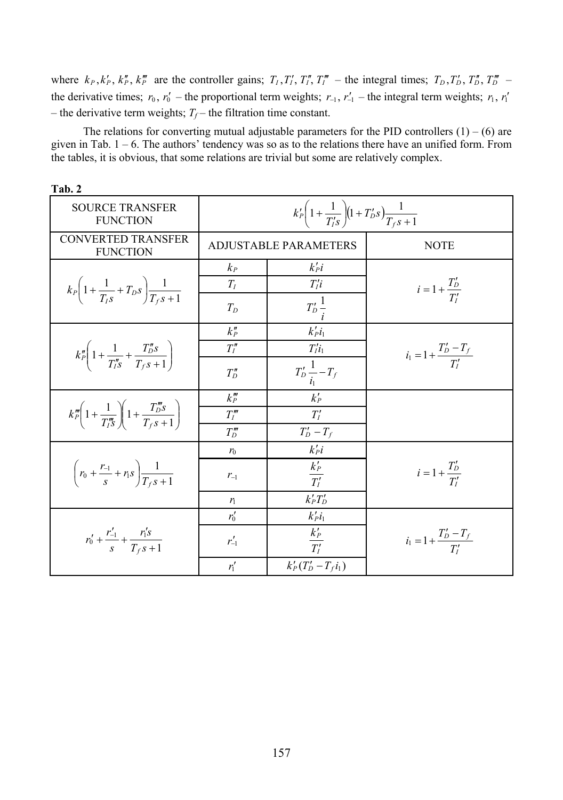where  $k_P$ ,  $k_P'$ ,  $k_P''$ ,  $k_P'''$  are the controller gains;  $T_I$ ,  $T_I'$ ,  $T_I''$ ,  $T_I'''$  – the integral times;  $T_D$ ,  $T_D'$ ,  $T_D''$ ,  $T_D'''$  – the derivative times;  $r_0$ ,  $r'_0$  – the proportional term weights;  $r_{-1}$ ,  $r'_{-1}$  – the integral term weights;  $r_1$ ,  $r'_1$ – the derivative term weights;  $T_f$  – the filtration time constant.

The relations for converting mutual adjustable parameters for the PID controllers  $(1) - (6)$  are given in Tab.  $1 - 6$ . The authors' tendency was so as to the relations there have an unified form. From the tables, it is obvious, that some relations are trivial but some are relatively complex.

| Tab. 2                                                                                  |                                                                                  |                                                        |                                     |
|-----------------------------------------------------------------------------------------|----------------------------------------------------------------------------------|--------------------------------------------------------|-------------------------------------|
| <b>SOURCE TRANSFER</b><br><b>FUNCTION</b>                                               | $k'_{P}\left(1+\frac{1}{T'_{i}S}\right)\left(1+T'_{D}S\right)\frac{1}{T_{f}S+1}$ |                                                        |                                     |
| <b>CONVERTED TRANSFER</b><br><b>FUNCTION</b>                                            | <b>ADJUSTABLE PARAMETERS</b>                                                     |                                                        | <b>NOTE</b>                         |
|                                                                                         | $k_{P}$                                                                          | $k_i$                                                  |                                     |
| $k_P\bigg(1+\frac{1}{T_{LS}}+T_{DS}\bigg)\frac{1}{T_{\textit{f-S}}+1}$                  | $T_I$                                                                            | $T_i$                                                  | $i = 1 + \frac{T'_D}{T'_I}$         |
|                                                                                         | $T_D$                                                                            | $T_D \frac{1}{i}$                                      |                                     |
|                                                                                         | $k_p''$                                                                          | $k'_pl_1$                                              |                                     |
| $k_p''\left(1+\frac{1}{T''s}+\frac{T''_{DS}}{T_{fS}+1}\right)$                          | $T_I''$                                                                          | $T_l'i_1$                                              | $i_1 = 1 + \frac{T'_D - T_f}{T'_f}$ |
|                                                                                         | $T''_D$                                                                          | $T_D' \frac{1}{i_1} - T_f$                             |                                     |
|                                                                                         | $k_p^{\prime\prime\prime}$                                                       | $k_P'$                                                 |                                     |
| $k_{P}^{m}\left(1+\frac{1}{T_{i}^{m}}\right)\left(1+\frac{T_{D}^{m}s}{T_{c}s+1}\right)$ | $T_l^{\prime\prime\prime}$                                                       | T'                                                     |                                     |
|                                                                                         | $T''_D$                                                                          | $T'_D-T_f$                                             |                                     |
| $\left(r_0 + \frac{r_{-1}}{s} + r_1 s\right) \frac{1}{T_{-s} + 1}$                      | $r_0$                                                                            | $k_i$                                                  |                                     |
|                                                                                         | $r_{-1}$                                                                         | $k_P'$<br>$\overline{T'_I}$                            | $i = 1 + \frac{T_D'}{T_s'}$         |
|                                                                                         | $r_1$                                                                            | $k'_PT'_D$                                             |                                     |
|                                                                                         | $r'_0$                                                                           | $k'_Pl_1$                                              |                                     |
| $r'_0 + \frac{r'_{-1}}{s} + \frac{r'_1s}{T_{\epsilon}s + 1}$                            | $r'_{-1}$                                                                        | $k_{\scriptscriptstyle P}^\prime$<br>$\overline{T'_I}$ | $i_1 = 1 + \frac{T'_D - T_f}{T'}$   |
|                                                                                         | $r_1'$                                                                           | $k'_{P}(T'_{D}-T_{f}i_{1})$                            |                                     |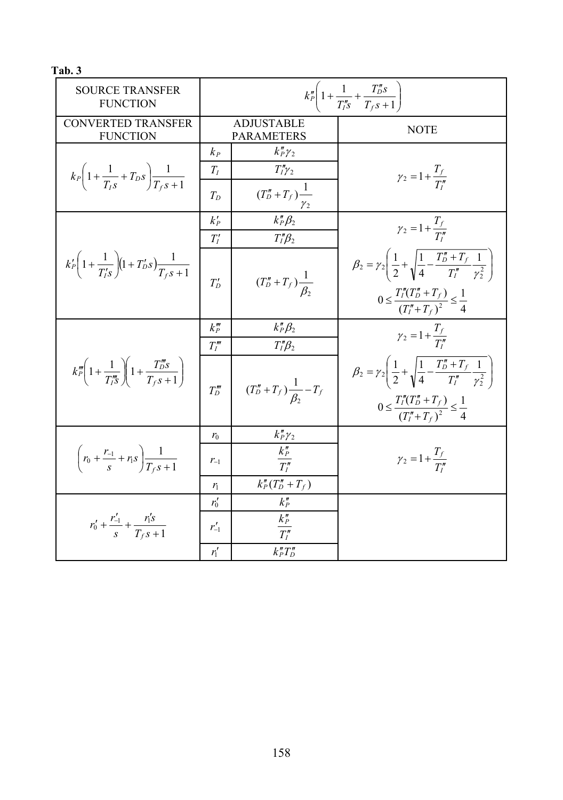**Tab. 3** 

| <b>SOURCE TRANSFER</b><br><b>FUNCTION</b>                                        | $k_P''\left(1+\frac{1}{T''_{1S}}+\frac{T''_{D}S}{T_{fS}+1}\right)$ |                                        |                                                                                                                          |
|----------------------------------------------------------------------------------|--------------------------------------------------------------------|----------------------------------------|--------------------------------------------------------------------------------------------------------------------------|
| <b>CONVERTED TRANSFER</b><br><b>FUNCTION</b>                                     |                                                                    | ADJUSTABLE<br><b>PARAMETERS</b>        | <b>NOTE</b>                                                                                                              |
| $k_P\left(1+\frac{1}{T_{IS}}+T_{DS}\right)\frac{1}{T_{fS}+1}$                    | $k_{P}$<br>$T_I$                                                   | $k''_P\gamma_2$<br>$T''_I\gamma_2$     | $\gamma_2 = 1 + \frac{I_f}{T''}$                                                                                         |
|                                                                                  | $T_D$                                                              | $(T''_D + T_f)$ <sup>1</sup>           |                                                                                                                          |
|                                                                                  | $k_P'$                                                             | $k_P^{\prime\prime}\beta_2$            | $\gamma_2 = 1 + \frac{T_f}{T''}$                                                                                         |
|                                                                                  | $T_I'$                                                             | $T_I''\beta_2$                         |                                                                                                                          |
| $k'_{P}\left(1+\frac{1}{T'_{iS}}\right)\left(1+T'_{D}S\right)\frac{1}{T_{iS}+1}$ | $T_D'$                                                             | $(T''_D + T_f)\frac{1}{\beta_2}$       | $\beta_2 = \gamma_2 \left( \frac{1}{2} + \sqrt{\frac{1}{4} - \frac{T''_D + T_f}{T''_I} \frac{1}{\gamma_2^2}} \right)$    |
|                                                                                  |                                                                    |                                        | $0 \leq \frac{T_I''(T_D'' + T_f)}{(T_I'' + T_c)^2} \leq \frac{1}{4}$                                                     |
|                                                                                  | $k_p'''$                                                           | $k_P^{\prime\prime}\beta_2$            | $\gamma_2 = 1 + \frac{T_f}{T''_1}$                                                                                       |
|                                                                                  | T''                                                                | $T_I''\beta_2$                         |                                                                                                                          |
| $k_p^m\left(1+\frac{1}{T_l^m s}\right)\left(1+\frac{T_l^m s}{T_r s+1}\right)$    | $T''_D$                                                            | $(T''_D + T_f)\frac{1}{\beta_2} - T_f$ | $\beta_2 = \gamma_2 \left( \frac{1}{2} + \sqrt{ \frac{1}{4} - \frac{T''_D + T_f}{T''_1} \frac{1}{\gamma_2^2}} \ \right)$ |
|                                                                                  |                                                                    |                                        | $0 \leq \frac{T''_I(T''_D + T_f)}{(T''_I + T_f)^2} \leq \frac{1}{4}$                                                     |
| $\left(r_0 + \frac{r_{-1}}{s} + r_1 s\right) \frac{1}{T_{-s} s + 1}$             | $r_0$                                                              | $k''_P\gamma_2$                        |                                                                                                                          |
|                                                                                  | $r_{-1}$                                                           | $\frac{k_{P}^{''}}{T_{I}^{''}}$        | $\gamma_2 = 1 + \frac{T_f}{T_i''}$                                                                                       |
|                                                                                  | $r_1$                                                              | $k_P''(T_D''+T_f)$                     |                                                                                                                          |
| $r'_0 + \frac{r'_{-1}}{s} + \frac{r'_1s}{T_{c} s + 1}$                           | $r'_0$                                                             | $k_P''$                                |                                                                                                                          |
|                                                                                  | $r'_{-1}$                                                          | $\frac{k_P''}{T_I''}$                  |                                                                                                                          |
|                                                                                  | $r_1'$                                                             | $k_P'' T_D''$                          |                                                                                                                          |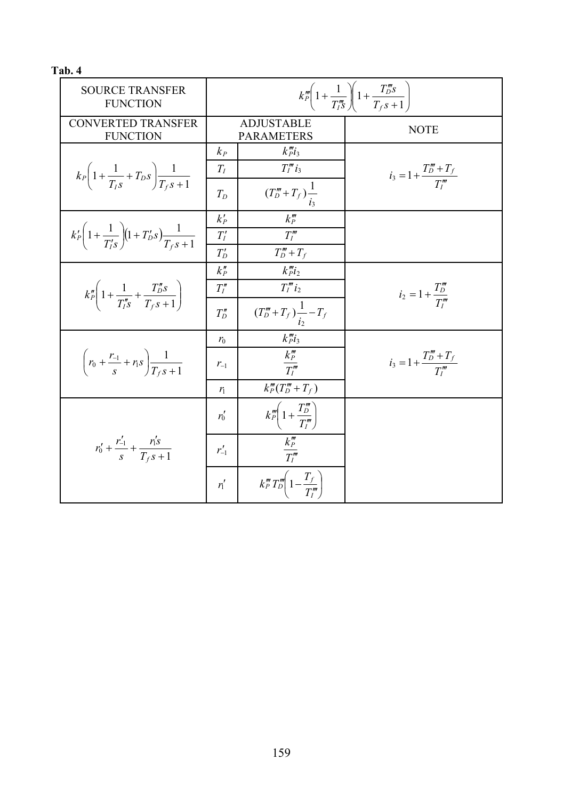**Tab. 4** 

| <b>SOURCE TRANSFER</b><br><b>FUNCTION</b>                                         | $k_{P}^{m}\left(1+\frac{1}{T_{I}^{m}}\right)\left(1+\frac{T_{D}^{m}s}{T_{f}s+1}\right)$ |                                                       |                                         |
|-----------------------------------------------------------------------------------|-----------------------------------------------------------------------------------------|-------------------------------------------------------|-----------------------------------------|
| <b>CONVERTED TRANSFER</b><br><b>FUNCTION</b>                                      | <b>ADJUSTABLE</b><br><b>PARAMETERS</b>                                                  |                                                       | <b>NOTE</b>                             |
| $k_P\bigg(1+\frac{1}{T_{LS}}+T_{DS}\bigg)\frac{1}{T_{LS}+1}$                      | $k_{P}$                                                                                 | $k''p_i$                                              |                                         |
|                                                                                   | $T_I$<br>$T_D$                                                                          | $T_l^m i_3$<br>$(T''_D + T_f) \frac{1}{t}$            | $i_3 = 1 + \frac{T_D''' + T_f}{T_I'''}$ |
|                                                                                   | $k_P'$                                                                                  | $k_p'''$                                              |                                         |
| $k'_{P}\left(1+\frac{1}{T'_{IS}}\right)\left(1+T'_{DS}\right)\frac{1}{T_{f,S}+1}$ | $T_I^\prime$                                                                            | $T_I^{\prime\prime\prime}$                            |                                         |
|                                                                                   | $T_D'$<br>$k_p''$                                                                       | $T'''_D+T_f$<br>$k_{Pl_2}^m$                          |                                         |
| $k_{P}''\left(1+\frac{1}{T_{1S}''}+\frac{T_{D}''s}{T_{6}+1}\right)$               | $T_I''$                                                                                 | $T''_1 i_2$                                           |                                         |
|                                                                                   | $T''_D$                                                                                 | $(T_{{D}}^{\prime\prime\prime}+T_f)\frac{1}{i_2}-T_f$ | $i_2 = 1 + \frac{T_D'''}{T_i'''}$       |
| $\left(r_0 + \frac{r_{-1}}{s} + r_1 s\right) \frac{1}{T_{c} s + 1}$               | $r_0$                                                                                   | $k''_P i_3$                                           |                                         |
|                                                                                   | $r_{-1}$                                                                                | $\frac{k_{P}^{m}}{T_{I}^{m}}$                         | $i_3 = 1 + \frac{T_0''' + T_f}{T_1'''}$ |
|                                                                                   | $r_{1}$                                                                                 | $k_P'''(T_D''' + T_f)$                                |                                         |
| $r'_0 + \frac{r'_{-1}}{s} + \frac{r'_1s}{T_{fS}+1}$                               | $r'_0$                                                                                  | $k_p^m\left(1+\frac{T_D^m}{T_I^m}\right)$             |                                         |
|                                                                                   | $r'_{-1}$                                                                               | $\frac{k_{P}'''}{T_{I}'''}$                           |                                         |
|                                                                                   | $r_1'$                                                                                  | $k_F''' T_D''' \left(1 - \frac{T_f}{T_i''}\right)$    |                                         |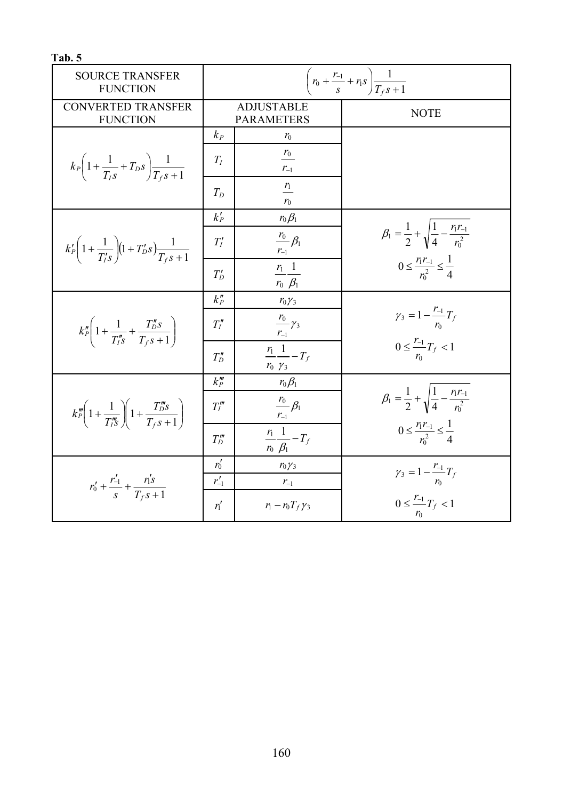| Tab. 5                                                                                   |                                                                   |                                              |                                                                         |
|------------------------------------------------------------------------------------------|-------------------------------------------------------------------|----------------------------------------------|-------------------------------------------------------------------------|
| <b>SOURCE TRANSFER</b><br><b>FUNCTION</b>                                                | $\left(r_0 + \frac{r_{-1}}{s} + r_1 s\right) \frac{1}{T_f s + 1}$ |                                              |                                                                         |
| <b>CONVERTED TRANSFER</b><br><b>FUNCTION</b>                                             | <b>ADJUSTABLE</b><br><b>PARAMETERS</b>                            |                                              | <b>NOTE</b>                                                             |
| $k_P\left(1+\frac{1}{T_{LS}}+T_{DS}\right)\frac{1}{T_{LS}+1}$                            | $k_P$                                                             | $r_0$                                        |                                                                         |
|                                                                                          | $T_I$                                                             | $\frac{r_0}{\sqrt{r_0}}$<br>$r_{\text{--}1}$ |                                                                         |
|                                                                                          | $T_D$                                                             | $\frac{r_1}{\phantom{1}}$<br>$r_0$           |                                                                         |
|                                                                                          | $k_P'$                                                            | $r_0 \beta_1$                                |                                                                         |
| $k'_{P}\left(1+\frac{1}{T'_{i}S}\right)\left(1+T'_{D}S\right)\frac{1}{T_{f}S+1}$         | $T_I'$                                                            | $\frac{r_0}{r_{-1}}\beta_1$                  | $\beta_1 = \frac{1}{2} + \sqrt{\frac{1}{4} - \frac{r_1 r_{-1}}{r_0^2}}$ |
|                                                                                          | $T_D'$                                                            | $\frac{r_1}{r_0} \frac{1}{\beta_1}$          | $0 \leq \frac{r_1 r_{-1}}{r_1^2} \leq \frac{1}{4}$                      |
|                                                                                          | $k_p''$                                                           | $r_0 \gamma_3$                               |                                                                         |
| $k_{P}''\left(1+\frac{1}{T''s}+\frac{T''_{D}s}{T_{f}s+1}\right)$                         | $T_I''$                                                           | $\frac{r_0}{r_3}$<br>$r_{-1}$                | $\gamma_3 = 1 - \frac{r_{-1}}{r_0} T_f$                                 |
|                                                                                          | $T''_D$                                                           | $\frac{r_1}{r_1}-T_f$<br>$r_0$ $\gamma_3$    | $0 \leq \frac{r_{-1}}{r_0}T_f < 1$                                      |
| $k_{P}^{m}\left(1+\frac{1}{T_{iS}^{m}}\right)\left(1+\frac{T_{D}^{m}s}{T_{fS}+1}\right)$ | $k_p'''$                                                          | $r_0 \beta_1$                                |                                                                         |
|                                                                                          | T''                                                               | $\frac{r_0}{r_0}$ $\beta_1$<br>$r_{-1}$      | $\beta_1 = \frac{1}{2} + \sqrt{\frac{1}{4} - \frac{r_1 r_{-1}}{r_0^2}}$ |
|                                                                                          | $T''_D$                                                           | $\frac{r_1}{r_1}-T_f$<br>$r_0$ $\beta_1$     | $0 \leq \frac{r_1 r_{-1}}{r^2} \leq \frac{1}{4}$                        |
| $r'_0 + \frac{r'_{-1}}{s} + \frac{r'_1s}{T_{-s}+1}$                                      | $r'_0$                                                            | $r_0 \gamma_3$                               | $\gamma_3 = 1 - \frac{r_{-1}}{r_0} T_f$                                 |
|                                                                                          | $r'_{-1}$                                                         | $r_{-1}$                                     |                                                                         |
|                                                                                          | $r_1'$                                                            | $r_1 - r_0 T_f \gamma_3$                     | $0 \leq \frac{r_{-1}}{r_f} < 1$<br>$r_0$                                |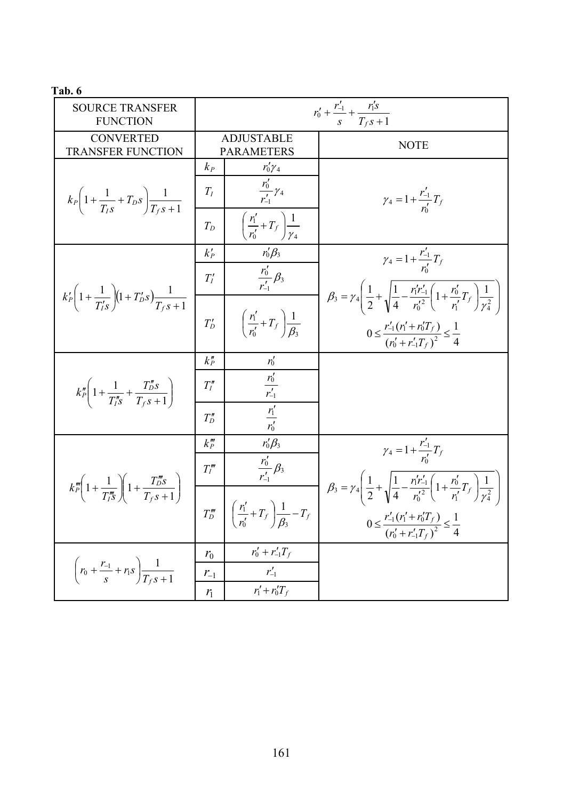**Tab. 6** 

| <b>SOURCE TRANSFER</b><br><b>FUNCTION</b>                                                | $r'_0 + \frac{r'_{-1}}{s} + \frac{r'_1s}{T_f s + 1}$ |                                                           |                                                                                                                                                                                                                                                     |
|------------------------------------------------------------------------------------------|------------------------------------------------------|-----------------------------------------------------------|-----------------------------------------------------------------------------------------------------------------------------------------------------------------------------------------------------------------------------------------------------|
| CONVERTED<br><b>TRANSFER FUNCTION</b>                                                    | <b>ADJUSTABLE</b><br><b>PARAMETERS</b>               |                                                           | <b>NOTE</b>                                                                                                                                                                                                                                         |
| $k_P\left(1+\frac{1}{T_{LS}}+T_{DS}\right)\frac{1}{T_{LS}+1}$                            | $k_{P}$                                              | $r'_0 \gamma_4$                                           |                                                                                                                                                                                                                                                     |
|                                                                                          | $T_I$                                                | $\frac{r'_0}{r'_1}\gamma_4$                               | $\gamma_4 = 1 + \frac{r'_{-1}}{r'_0}T_f$                                                                                                                                                                                                            |
|                                                                                          | $T_D$                                                | $\left(\frac{r'_1}{r'_0}+T_f\right)\frac{1}{\gamma_4}$    |                                                                                                                                                                                                                                                     |
|                                                                                          | $k_P'$                                               | $r'_0\beta_3$                                             | $\gamma_4 = 1 + \frac{r'_{-1}}{r'} T_f$                                                                                                                                                                                                             |
| $k'_{P}\left(1+\frac{1}{T'_{o}S}\right)\left(1+T'_{o}S\right)\frac{1}{T_{o}S+1}$         | $T_I'$                                               | $\frac{r'_0}{r'_1}\beta_3$                                | $\beta_3 = \gamma_4 \left( \frac{1}{2} + \sqrt{\frac{1}{4} - \frac{r_1'r_{-1}'}{r_0'^2} \left( 1 + \frac{r_0'}{r_1'} T_f \right) \frac{1}{\gamma_4^2}} \right)$                                                                                     |
|                                                                                          | $T_D'$                                               | $\left(\frac{r'_1}{r'_2}+T_f\right)\frac{1}{\beta_2}$     | $0 \leq \frac{r'_{-1}(r'_1 + r'_0 T_f)}{(r'_0 + r'_{-1} T_f)^2} \leq \frac{1}{4}$                                                                                                                                                                   |
|                                                                                          | $k_p$                                                |                                                           |                                                                                                                                                                                                                                                     |
| $k_P''\left(1+\frac{1}{T_{LS}''}+\frac{T_D''s}{T_{ES}+1}\right)$                         | $T_I''$                                              | $\frac{r'_0}{r'_{-1}}$                                    |                                                                                                                                                                                                                                                     |
|                                                                                          | $T''_D$                                              | $\frac{r'_1}{r'_0}$                                       |                                                                                                                                                                                                                                                     |
|                                                                                          | $k_p^{\prime\prime\prime}$                           | $r'_0\beta_3$                                             | $\gamma_4 = 1 + \frac{r'_{-1}}{r'} T_f$                                                                                                                                                                                                             |
| $k_{P}^{m}\left(1+\frac{1}{T_{IS}^{m}}\right)\left(1+\frac{T_{DS}^{m}}{T_{IS}+1}\right)$ | $T_I^{\prime\prime\prime}$                           | $\frac{r'_0}{r'_1}\beta_3$                                |                                                                                                                                                                                                                                                     |
|                                                                                          | $T''_D$                                              | $\left(\frac{r'_1}{r'_2}+T_f\right)\frac{1}{\beta_2}-T_f$ | $\beta_3 = \gamma_4 \left( \frac{1}{2} + \sqrt{\frac{1}{4} - \frac{r_1'r_{-1}'}{r_0'^2} \left( 1 + \frac{r_0'}{r_1'} T_f \right) \frac{1}{\gamma_4^2}} \right)$<br>$0 \leq \frac{r'_{-1}(r'_1 + r'_0 T_f)}{(r'_0 + r'_{-1}T_f)^2} \leq \frac{1}{4}$ |
| $\left(r_0 + \frac{r_{-1}}{s} + r_1 s\right) \frac{1}{T_{-s} s + 1}$                     | r <sub>0</sub>                                       | $r'_0 + r'_{-1}T_f$                                       |                                                                                                                                                                                                                                                     |
|                                                                                          | $r_{-1}$                                             | $r'_{-1}$                                                 |                                                                                                                                                                                                                                                     |
|                                                                                          | r <sub>1</sub>                                       | $r'_1 + r'_0T_f$                                          |                                                                                                                                                                                                                                                     |
|                                                                                          |                                                      |                                                           |                                                                                                                                                                                                                                                     |